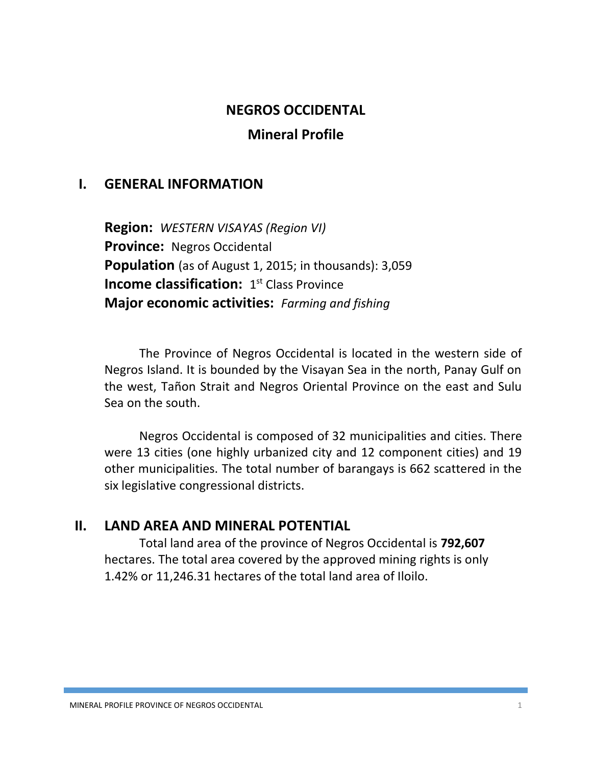### **NEGROS OCCIDENTAL**

### **Mineral Profile**

### **I. GENERAL INFORMATION**

**Region:** *WESTERN VISAYAS (Region VI)* **Province:** Negros Occidental **Population** (as of August 1, 2015; in thousands): 3,059 **Income classification:** 1<sup>st</sup> Class Province **Major economic activities:** *Farming and fishing*

The Province of Negros Occidental is located in the western side of Negros Island. It is bounded by the Visayan Sea in the north, Panay Gulf on the west, Tañon Strait and Negros Oriental Province on the east and Sulu Sea on the south.

Negros Occidental is composed of 32 municipalities and cities. There were 13 cities (one highly urbanized city and 12 component cities) and 19 other municipalities. The total number of barangays is 662 scattered in the six legislative congressional districts.

### **II. LAND AREA AND MINERAL POTENTIAL**

Total land area of the province of Negros Occidental is **792,607** hectares. The total area covered by the approved mining rights is only 1.42% or 11,246.31 hectares of the total land area of Iloilo.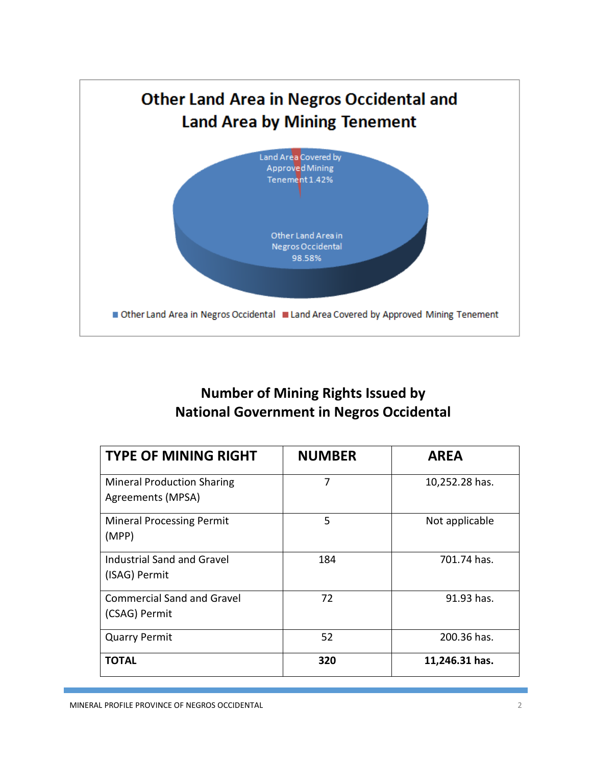

# **Number of Mining Rights Issued by National Government in Negros Occidental**

| <b>TYPE OF MINING RIGHT</b>                            | <b>NUMBER</b> | <b>AREA</b>    |
|--------------------------------------------------------|---------------|----------------|
| <b>Mineral Production Sharing</b><br>Agreements (MPSA) | 7             | 10,252.28 has. |
| <b>Mineral Processing Permit</b><br>(MPP)              | 5             | Not applicable |
| <b>Industrial Sand and Gravel</b><br>(ISAG) Permit     | 184           | 701.74 has.    |
| <b>Commercial Sand and Gravel</b><br>(CSAG) Permit     | 72            | 91.93 has.     |
| <b>Quarry Permit</b>                                   | 52            | 200.36 has.    |
| TOTAL                                                  | 320           | 11,246.31 has. |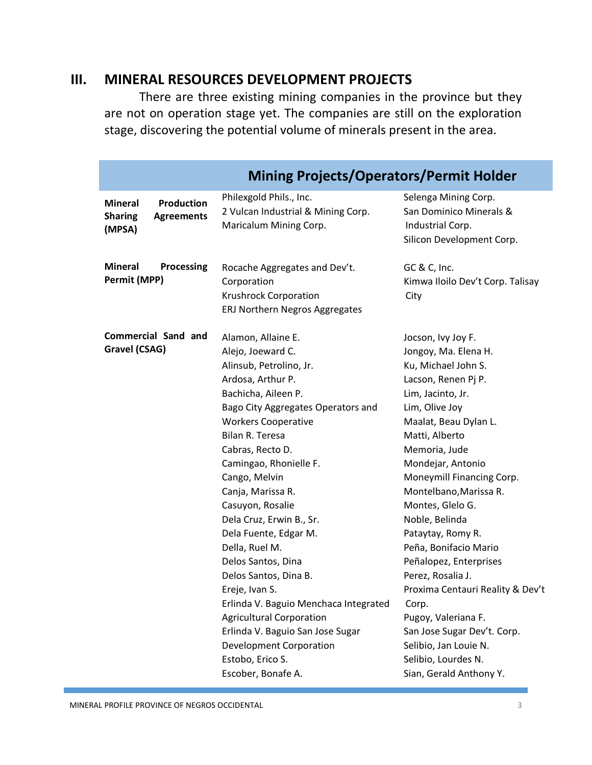### **III. MINERAL RESOURCES DEVELOPMENT PROJECTS**

There are three existing mining companies in the province but they are not on operation stage yet. The companies are still on the exploration stage, discovering the potential volume of minerals present in the area.

| <b>Mining Projects/Operators/Permit Holder</b>                                       |                                                                                                                                                                                                                                                                                                                                                                                                                                                                                                                                                                                                                             |                                                                                                                                                                                                                                                                                                                                                                                                                                                                                                                                                               |  |
|--------------------------------------------------------------------------------------|-----------------------------------------------------------------------------------------------------------------------------------------------------------------------------------------------------------------------------------------------------------------------------------------------------------------------------------------------------------------------------------------------------------------------------------------------------------------------------------------------------------------------------------------------------------------------------------------------------------------------------|---------------------------------------------------------------------------------------------------------------------------------------------------------------------------------------------------------------------------------------------------------------------------------------------------------------------------------------------------------------------------------------------------------------------------------------------------------------------------------------------------------------------------------------------------------------|--|
| <b>Production</b><br><b>Mineral</b><br><b>Sharing</b><br><b>Agreements</b><br>(MPSA) | Philexgold Phils., Inc.<br>2 Vulcan Industrial & Mining Corp.<br>Maricalum Mining Corp.                                                                                                                                                                                                                                                                                                                                                                                                                                                                                                                                     | Selenga Mining Corp.<br>San Dominico Minerals &<br>Industrial Corp.<br>Silicon Development Corp.                                                                                                                                                                                                                                                                                                                                                                                                                                                              |  |
| <b>Mineral</b><br>Processing<br>Permit (MPP)                                         | Rocache Aggregates and Dev't.<br>Corporation<br><b>Krushrock Corporation</b><br>ERJ Northern Negros Aggregates                                                                                                                                                                                                                                                                                                                                                                                                                                                                                                              | GC & C, Inc.<br>Kimwa Iloilo Dev't Corp. Talisay<br>City                                                                                                                                                                                                                                                                                                                                                                                                                                                                                                      |  |
| Commercial Sand and<br>Gravel (CSAG)                                                 | Alamon, Allaine E.<br>Alejo, Joeward C.<br>Alinsub, Petrolino, Jr.<br>Ardosa, Arthur P.<br>Bachicha, Aileen P.<br>Bago City Aggregates Operators and<br><b>Workers Cooperative</b><br>Bilan R. Teresa<br>Cabras, Recto D.<br>Camingao, Rhonielle F.<br>Cango, Melvin<br>Canja, Marissa R.<br>Casuyon, Rosalie<br>Dela Cruz, Erwin B., Sr.<br>Dela Fuente, Edgar M.<br>Della, Ruel M.<br>Delos Santos, Dina<br>Delos Santos, Dina B.<br>Ereje, Ivan S.<br>Erlinda V. Baguio Menchaca Integrated<br><b>Agricultural Corporation</b><br>Erlinda V. Baguio San Jose Sugar<br><b>Development Corporation</b><br>Estobo, Erico S. | Jocson, Ivy Joy F.<br>Jongoy, Ma. Elena H.<br>Ku, Michael John S.<br>Lacson, Renen Pj P.<br>Lim, Jacinto, Jr.<br>Lim, Olive Joy<br>Maalat, Beau Dylan L.<br>Matti, Alberto<br>Memoria, Jude<br>Mondejar, Antonio<br>Moneymill Financing Corp.<br>Montelbano, Marissa R.<br>Montes, Glelo G.<br>Noble, Belinda<br>Pataytay, Romy R.<br>Peña, Bonifacio Mario<br>Peñalopez, Enterprises<br>Perez, Rosalia J.<br>Proxima Centauri Reality & Dev't<br>Corp.<br>Pugoy, Valeriana F.<br>San Jose Sugar Dev't. Corp.<br>Selibio, Jan Louie N.<br>Selibio, Lourdes N. |  |
|                                                                                      | Escober, Bonafe A.                                                                                                                                                                                                                                                                                                                                                                                                                                                                                                                                                                                                          | Sian, Gerald Anthony Y.                                                                                                                                                                                                                                                                                                                                                                                                                                                                                                                                       |  |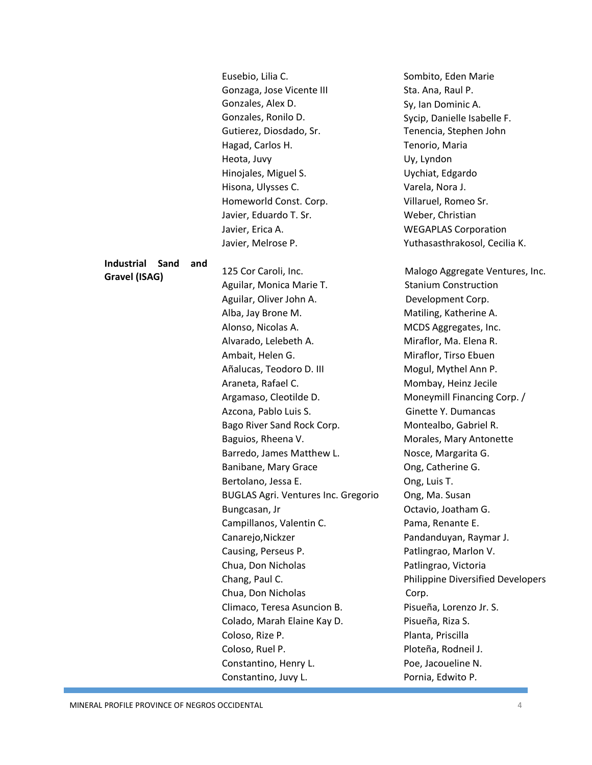|                                  | Eusebio, Lilia C.                             | Sombito, Eden Marie                      |  |
|----------------------------------|-----------------------------------------------|------------------------------------------|--|
|                                  | Gonzaga, Jose Vicente III                     | Sta. Ana, Raul P.                        |  |
|                                  | Gonzales, Alex D.                             | Sy, Ian Dominic A.                       |  |
|                                  | Gonzales, Ronilo D.                           | Sycip, Danielle Isabelle F.              |  |
|                                  | Gutierez, Diosdado, Sr.                       | Tenencia, Stephen John                   |  |
|                                  | Hagad, Carlos H.                              | Tenorio, Maria                           |  |
|                                  | Heota, Juvy                                   | Uy, Lyndon                               |  |
|                                  | Hinojales, Miguel S.                          | Uychiat, Edgardo                         |  |
|                                  | Hisona, Ulysses C.                            | Varela, Nora J.                          |  |
|                                  | Homeworld Const. Corp.                        | Villaruel, Romeo Sr.                     |  |
|                                  | Javier, Eduardo T. Sr.                        | Weber, Christian                         |  |
|                                  | Javier, Erica A.                              | <b>WEGAPLAS Corporation</b>              |  |
|                                  | Javier, Melrose P.                            | Yuthasasthrakosol, Cecilia K.            |  |
|                                  |                                               |                                          |  |
| <b>Industrial</b><br>Sand<br>and | 125 Cor Caroli, Inc.                          | Malogo Aggregate Ventures, Inc.          |  |
| Gravel (ISAG)                    | Aguilar, Monica Marie T.                      | <b>Stanium Construction</b>              |  |
|                                  | Aguilar, Oliver John A.                       | Development Corp.                        |  |
|                                  | Alba, Jay Brone M.                            | Matiling, Katherine A.                   |  |
|                                  | Alonso, Nicolas A.                            | MCDS Aggregates, Inc.                    |  |
|                                  | Alvarado, Lelebeth A.                         | Miraflor, Ma. Elena R.                   |  |
|                                  | Ambait, Helen G.                              | Miraflor, Tirso Ebuen                    |  |
|                                  | Añalucas, Teodoro D. III                      | Mogul, Mythel Ann P.                     |  |
|                                  | Araneta, Rafael C.                            | Mombay, Heinz Jecile                     |  |
|                                  | Argamaso, Cleotilde D.                        | Moneymill Financing Corp. /              |  |
|                                  | Azcona, Pablo Luis S.                         | Ginette Y. Dumancas                      |  |
|                                  | Bago River Sand Rock Corp.                    | Montealbo, Gabriel R.                    |  |
|                                  | Baguios, Rheena V.<br>Morales, Mary Antonette |                                          |  |
|                                  | Barredo, James Matthew L.                     | Nosce, Margarita G.                      |  |
|                                  | Banibane, Mary Grace                          | Ong, Catherine G.                        |  |
|                                  | Bertolano, Jessa E.                           | Ong, Luis T.                             |  |
|                                  | <b>BUGLAS Agri. Ventures Inc. Gregorio</b>    | Ong, Ma. Susan                           |  |
|                                  | Bungcasan, Jr                                 | Octavio, Joatham G.                      |  |
|                                  | Campillanos, Valentin C.                      | Pama, Renante E.                         |  |
|                                  | Canarejo, Nickzer                             | Pandanduyan, Raymar J.                   |  |
|                                  | Causing, Perseus P.                           | Patlingrao, Marlon V.                    |  |
|                                  | Chua, Don Nicholas                            | Patlingrao, Victoria                     |  |
|                                  | Chang, Paul C.                                | <b>Philippine Diversified Developers</b> |  |
|                                  | Chua, Don Nicholas                            | Corp.                                    |  |
|                                  | Climaco, Teresa Asuncion B.                   | Pisueña, Lorenzo Jr. S.                  |  |
|                                  | Colado, Marah Elaine Kay D.                   | Pisueña, Riza S.                         |  |
|                                  | Coloso, Rize P.                               | Planta, Priscilla                        |  |
|                                  | Coloso, Ruel P.                               | Ploteña, Rodneil J.                      |  |
|                                  | Constantino, Henry L.                         | Poe, Jacoueline N.                       |  |
|                                  | Constantino, Juvy L.                          | Pornia, Edwito P.                        |  |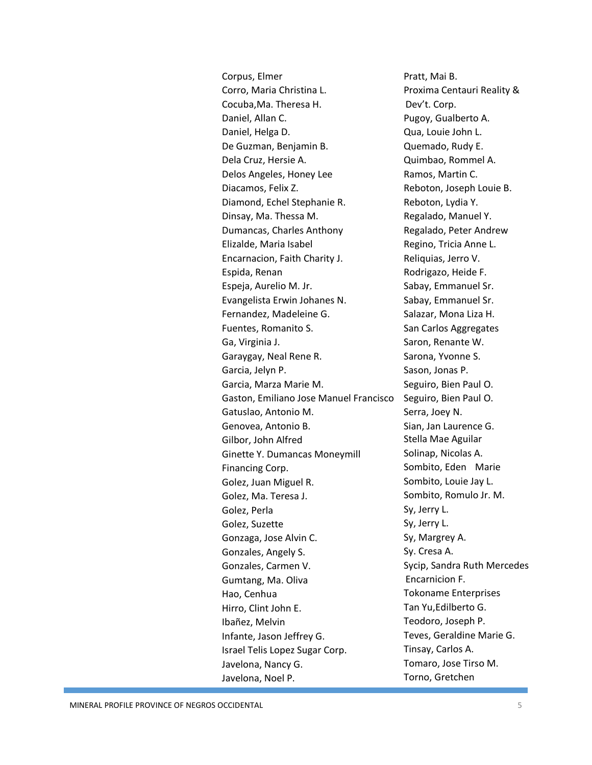Corpus, Elmer Corro, Maria Christina L. Cocuba,Ma. Theresa H. Daniel, Allan C. Daniel, Helga D. De Guzman, Benjamin B. Dela Cruz, Hersie A. Delos Angeles, Honey Lee Diacamos, Felix Z. Diamond, Echel Stephanie R. Dinsay, Ma. Thessa M. Dumancas, Charles Anthony Elizalde, Maria Isabel Encarnacion, Faith Charity J. Espida, Renan Espeja, Aurelio M. Jr. Evangelista Erwin Johanes N. Fernandez, Madeleine G. Fuentes, Romanito S. Ga, Virginia J. Garaygay, Neal Rene R. Garcia, Jelyn P. Garcia, Marza Marie M. Gaston, Emiliano Jose Manuel Francisco Gatuslao, Antonio M. Genovea, Antonio B. Gilbor, John Alfred Ginette Y. Dumancas Moneymill Financing Corp. Golez, Juan Miguel R. Golez, Ma. Teresa J. Golez, Perla Golez, Suzette Gonzaga, Jose Alvin C. Gonzales, Angely S. Gonzales, Carmen V. Gumtang, Ma. Oliva Hao, Cenhua Hirro, Clint John E. Ibañez, Melvin Infante, Jason Jeffrey G. Israel Telis Lopez Sugar Corp. Javelona, Nancy G. Javelona, Noel P.

Pratt, Mai B. Proxima Centauri Reality & Dev't. Corp. Pugoy, Gualberto A. Qua, Louie John L. Quemado, Rudy E. Quimbao, Rommel A. Ramos, Martin C. Reboton, Joseph Louie B. Reboton, Lydia Y. Regalado, Manuel Y. Regalado, Peter Andrew Regino, Tricia Anne L. Reliquias, Jerro V. Rodrigazo, Heide F. Sabay, Emmanuel Sr. Sabay, Emmanuel Sr. Salazar, Mona Liza H. San Carlos Aggregates Saron, Renante W. Sarona, Yvonne S. Sason, Jonas P. Seguiro, Bien Paul O. Seguiro, Bien Paul O. Serra, Joey N. Sian, Jan Laurence G. Stella Mae Aguilar Solinap, Nicolas A. Sombito, Eden Marie Sombito, Louie Jay L. Sombito, Romulo Jr. M. Sy, Jerry L. Sy, Jerry L. Sy, Margrey A. Sy. Cresa A. Sycip, Sandra Ruth Mercedes Encarnicion F. Tokoname Enterprises Tan Yu,Edilberto G. Teodoro, Joseph P. Teves, Geraldine Marie G. Tinsay, Carlos A. Tomaro, Jose Tirso M. Torno, Gretchen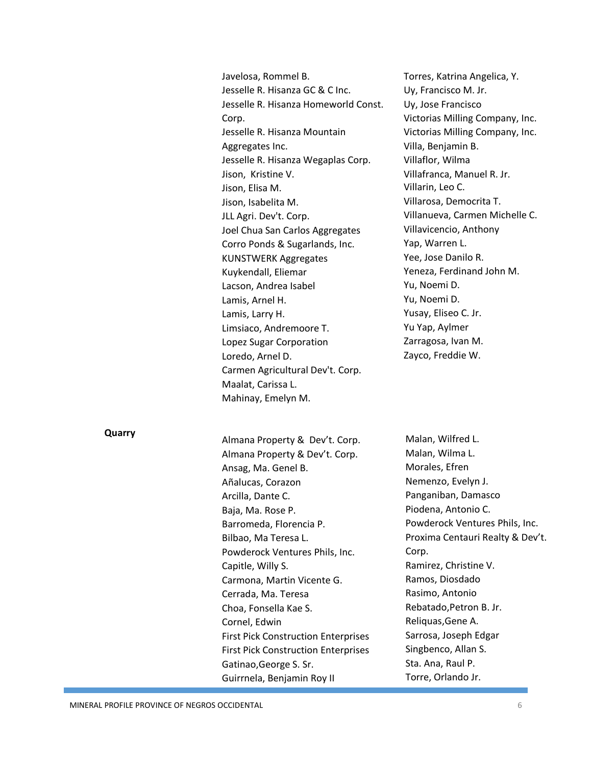Javelosa, Rommel B. Jesselle R. Hisanza GC & C Inc. Jesselle R. Hisanza Homeworld Const. Corp. Jesselle R. Hisanza Mountain Aggregates Inc. Jesselle R. Hisanza Wegaplas Corp. Jison, Kristine V. Jison, Elisa M. Jison, Isabelita M. JLL Agri. Dev't. Corp. Joel Chua San Carlos Aggregates Corro Ponds & Sugarlands, Inc. KUNSTWERK Aggregates Kuykendall, Eliemar Lacson, Andrea Isabel Lamis, Arnel H. Lamis, Larry H. Limsiaco, Andremoore T. Lopez Sugar Corporation Loredo, Arnel D. Carmen Agricultural Dev't. Corp. Maalat, Carissa L. Mahinay, Emelyn M.

Torres, Katrina Angelica, Y. Uy, Francisco M. Jr. Uy, Jose Francisco Victorias Milling Company, Inc. Victorias Milling Company, Inc. Villa, Benjamin B. Villaflor, Wilma Villafranca, Manuel R. Jr. Villarin, Leo C. Villarosa, Democrita T. Villanueva, Carmen Michelle C. Villavicencio, Anthony Yap, Warren L. Yee, Jose Danilo R. Yeneza, Ferdinand John M. Yu, Noemi D. Yu, Noemi D. Yusay, Eliseo C. Jr. Yu Yap, Aylmer Zarragosa, Ivan M. Zayco, Freddie W.

#### **Quarry**

Almana Property & Dev't. Corp. Almana Property & Dev't. Corp. Ansag, Ma. Genel B. Añalucas, Corazon Arcilla, Dante C. Baja, Ma. Rose P. Barromeda, Florencia P. Bilbao, Ma Teresa L. Powderock Ventures Phils, Inc. Capitle, Willy S. Carmona, Martin Vicente G. Cerrada, Ma. Teresa Choa, Fonsella Kae S. Cornel, Edwin First Pick Construction Enterprises First Pick Construction Enterprises Gatinao,George S. Sr. Guirrnela, Benjamin Roy II

Malan, Wilfred L. Malan, Wilma L. Morales, Efren Nemenzo, Evelyn J. Panganiban, Damasco Piodena, Antonio C. Powderock Ventures Phils, Inc. Proxima Centauri Realty & Dev't. Corp. Ramirez, Christine V. Ramos, Diosdado Rasimo, Antonio Rebatado,Petron B. Jr. Reliquas,Gene A. Sarrosa, Joseph Edgar Singbenco, Allan S. Sta. Ana, Raul P. Torre, Orlando Jr.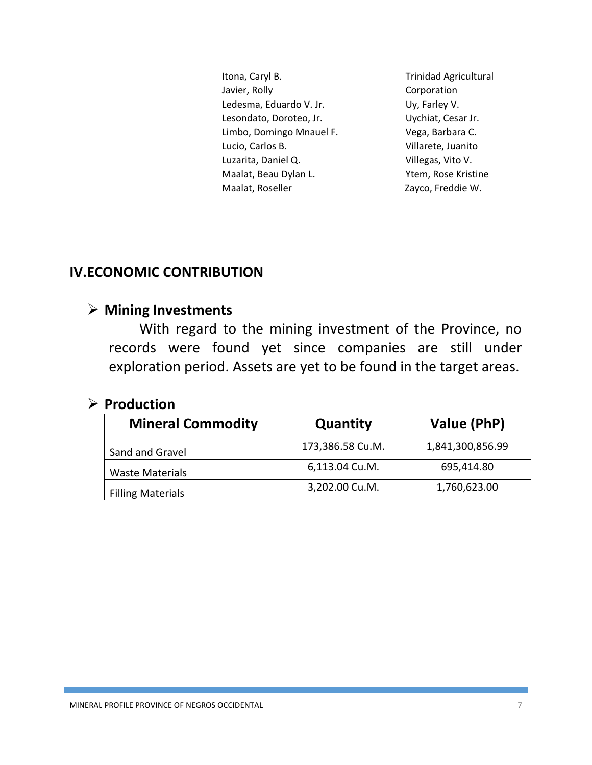Itona, Caryl B. Javier, Rolly Ledesma, Eduardo V. Jr. Lesondato, Doroteo, Jr. Limbo, Domingo Mnauel F. Lucio, Carlos B. Luzarita, Daniel Q. Maalat, Beau Dylan L. Maalat, Roseller

Trinidad Agricultural Corporation Uy, Farley V. Uychiat, Cesar Jr. Vega, Barbara C. Villarete, Juanito Villegas, Vito V. Ytem, Rose Kristine Zayco, Freddie W.

# **IV.ECONOMIC CONTRIBUTION**

### **Mining Investments**

With regard to the mining investment of the Province, no records were found yet since companies are still under exploration period. Assets are yet to be found in the target areas.

### **Production**

| <b>Mineral Commodity</b> | Quantity         | Value (PhP)      |
|--------------------------|------------------|------------------|
| Sand and Gravel          | 173,386.58 Cu.M. | 1,841,300,856.99 |
| <b>Waste Materials</b>   | 6,113.04 Cu.M.   | 695,414.80       |
| <b>Filling Materials</b> | 3,202.00 Cu.M.   | 1,760,623.00     |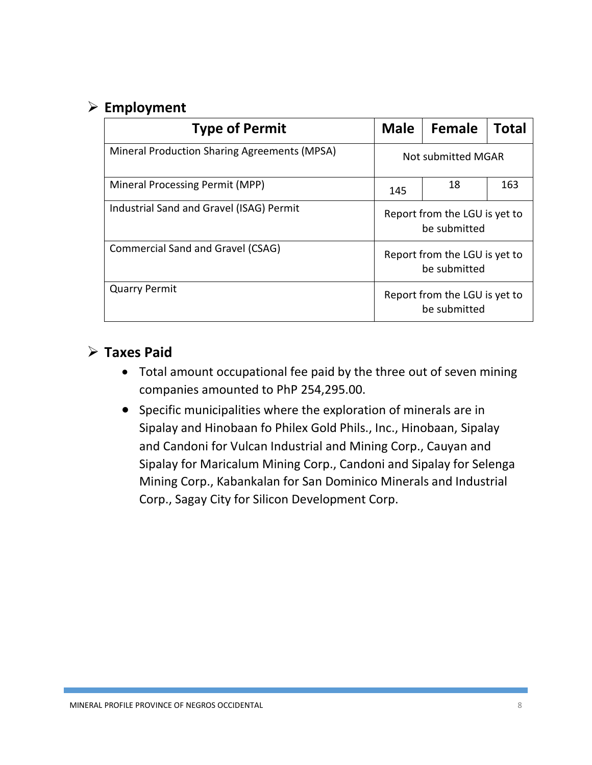# **Employment**

| <b>Type of Permit</b>                               | <b>Male</b>                                   | Female | <b>Total</b> |
|-----------------------------------------------------|-----------------------------------------------|--------|--------------|
| <b>Mineral Production Sharing Agreements (MPSA)</b> | Not submitted MGAR                            |        |              |
| Mineral Processing Permit (MPP)                     | 145                                           | 18     | 163          |
| Industrial Sand and Gravel (ISAG) Permit            | Report from the LGU is yet to<br>be submitted |        |              |
| Commercial Sand and Gravel (CSAG)                   | Report from the LGU is yet to<br>be submitted |        |              |
| <b>Quarry Permit</b>                                | Report from the LGU is yet to<br>be submitted |        |              |

# **Taxes Paid**

- Total amount occupational fee paid by the three out of seven mining companies amounted to PhP 254,295.00.
- Specific municipalities where the exploration of minerals are in Sipalay and Hinobaan fo Philex Gold Phils., Inc., Hinobaan, Sipalay and Candoni for Vulcan Industrial and Mining Corp., Cauyan and Sipalay for Maricalum Mining Corp., Candoni and Sipalay for Selenga Mining Corp., Kabankalan for San Dominico Minerals and Industrial Corp., Sagay City for Silicon Development Corp.